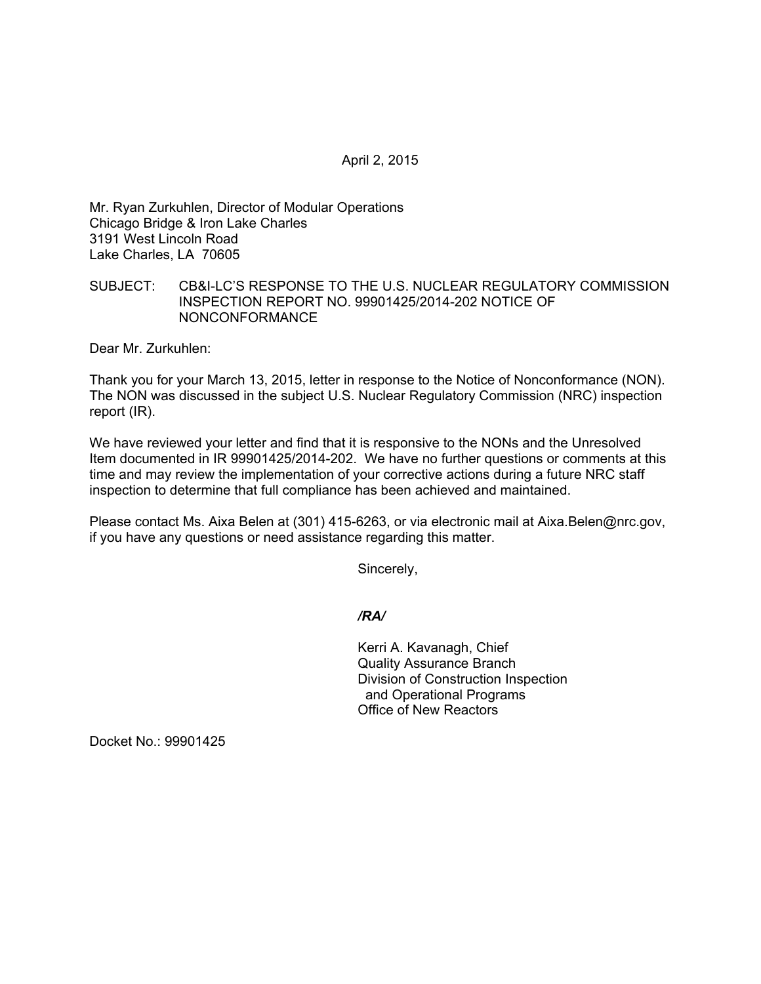April 2, 2015

Mr. Ryan Zurkuhlen, Director of Modular Operations Chicago Bridge & Iron Lake Charles 3191 West Lincoln Road Lake Charles, LA 70605

## SUBJECT: CB&I-LC'S RESPONSE TO THE U.S. NUCLEAR REGULATORY COMMISSION INSPECTION REPORT NO. 99901425/2014-202 NOTICE OF NONCONFORMANCE

Dear Mr. Zurkuhlen:

Thank you for your March 13, 2015, letter in response to the Notice of Nonconformance (NON). The NON was discussed in the subject U.S. Nuclear Regulatory Commission (NRC) inspection report (IR).

We have reviewed your letter and find that it is responsive to the NONs and the Unresolved Item documented in IR 99901425/2014-202. We have no further questions or comments at this time and may review the implementation of your corrective actions during a future NRC staff inspection to determine that full compliance has been achieved and maintained.

Please contact Ms. Aixa Belen at (301) 415-6263, or via electronic mail at Aixa.Belen@nrc.gov, if you have any questions or need assistance regarding this matter.

Sincerely,

*/RA/* 

Kerri A. Kavanagh, Chief Quality Assurance Branch Division of Construction Inspection and Operational Programs Office of New Reactors

Docket No.: 99901425